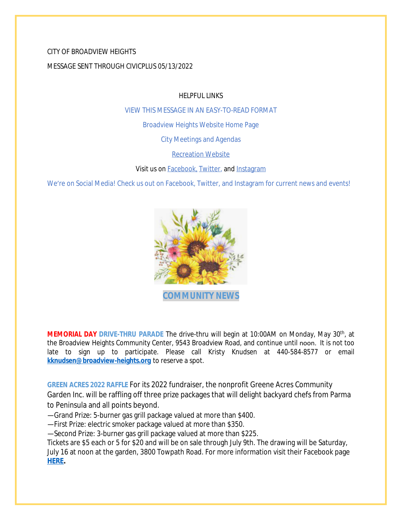# CITY OF BROADVIEW HEIGHTS MESSAGE SENT THROUGH CIVICPLUS 05/13/2022

HELPFUL LINKS

[VIEW THIS MESSAGE IN AN EASY-TO-READ FORMAT](https://www.broadview-heights.org/Archive.aspx?AMID=37)

[Broadview Heights Website Home Page](https://www.broadview-heights.org/)

[City Meetings and Agendas](https://www.broadview-heights.org/1126/Agendas-Meeting-Minutes)

[Recreation Website](https://broadview-heights.org/292/Parks-Recreation)

Visit us on **Facebook**, [Twitter,](https://twitter.com/broadviewhts) and [Instagram](https://www.instagram.com/cityofbroadviewheights/)

We're on Social Media! Check us out on Facebook, Twitter, and Instagram for current news and events!



**MEMORIAL DAY DRIVE-THRU PARADE** The drive-thru will begin at 10:00AM on Monday, May 30th , at the Broadview Heights Community Center, 9543 Broadview Road, and continue until noon. It is not too late to sign up to participate. Please call Kristy Knudsen at 440-584-8577 or email **[kknudsen@broadview-heights.org](mailto:kknudsen@broadview-heights.org)** to reserve a spot.

**GREEN ACRES 2022 RAFFLE** For its 2022 fundraiser, the nonprofit Greene Acres Community Garden Inc. will be raffling off three prize packages that will delight backyard chefs from Parma to Peninsula and all points beyond.

—Grand Prize: 5-burner gas grill package valued at more than \$400.

—First Prize: electric smoker package valued at more than \$350.

—Second Prize: 3-burner gas grill package valued at more than \$225.

Tickets are \$5 each or 5 for \$20 and will be on sale through July 9th. The drawing will be Saturday, July 16 at noon at the garden, 3800 Towpath Road. For more information visit their Facebook page **[HERE.](https://www.facebook.com/greeneacresCG/)**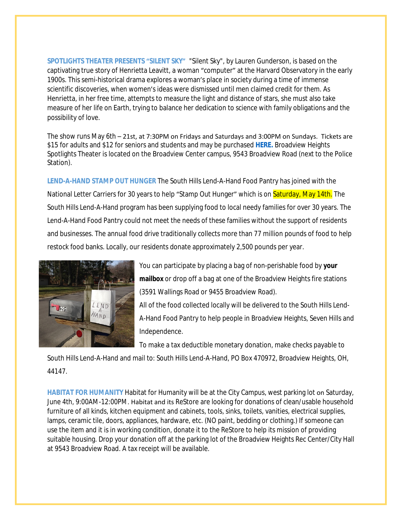**SPOTLIGHTS THEATER PRESENTS "SILENT SKY"** "Silent Sky", by Lauren Gunderson, is based on the captivating true story of Henrietta Leavitt, a woman "computer" at the Harvard Observatory in the early 1900s. This semi-historical drama explores a woman's place in society during a time of immense scientific discoveries, when women's ideas were dismissed until men claimed credit for them. As Henrietta, in her free time, attempts to measure the light and distance of stars, she must also take measure of her life on Earth, trying to balance her dedication to science with family obligations and the possibility of love.

The show runs May 6th – 21st, at 7:30PM on Fridays and Saturdays and 3:00PM on Sundays. Tickets are \$15 for adults and \$12 for seniors and students and may be purchased **[HERE.](https://cts.vresp.com/c/?BroadviewHeightsSpot/90c6b64c6f/TEST/2e128924b9)** Broadview Heights Spotlights Theater is located on the Broadview Center campus, 9543 Broadview Road (next to the Police Station).

**LEND-A-HAND STAMP OUT HUNGER** The South Hills Lend-A-Hand Food Pantry has joined with the National Letter Carriers for 30 years to help "Stamp Out Hunger" which is on **Saturday, May 14th.** The South Hills Lend-A-Hand program has been supplying food to local needy families for over 30 years. The Lend-A-Hand Food Pantry could not meet the needs of these families without the support of residents and businesses. The annual food drive traditionally collects more than 77 million pounds of food to help restock food banks. Locally, our residents donate approximately 2,500 pounds per year.



You can participate by placing a bag of non-perishable food by **your mailbox** or drop off a bag at one of the Broadview Heights fire stations (3591 Wallings Road or 9455 Broadview Road). All of the food collected locally will be delivered to the South Hills Lend-A-Hand Food Pantry to help people in Broadview Heights, Seven Hills and Independence.

To make a tax deductible monetary donation, make checks payable to

South Hills Lend-A-Hand and mail to: South Hills Lend-A-Hand, PO Box 470972, Broadview Heights, OH, 44147.

**HABITAT FOR HUMANITY** Habitat for Humanity will be at the City Campus, west parking lot on Saturday, June 4th, 9:00AM-12:00PM. Habitat and its ReStore are looking for donations of clean/usable household furniture of all kinds, kitchen equipment and cabinets, tools, sinks, toilets, vanities, electrical supplies, lamps, ceramic tile, doors, appliances, hardware, etc. (NO paint, bedding or clothing.) If someone can use the item and it is in working condition, donate it to the ReStore to help its mission of providing suitable housing. Drop your donation off at the parking lot of the Broadview Heights Rec Center/City Hall at 9543 Broadview Road. A tax receipt will be available.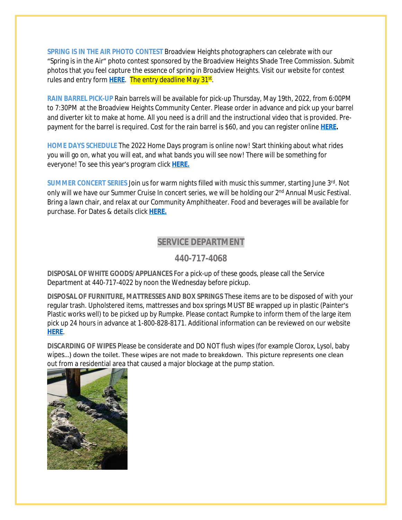**SPRING IS IN THE AIR PHOTO CONTEST** Broadview Heights photographers can celebrate with our "Spring is in the Air" photo contest sponsored by the Broadview Heights Shade Tree Commission. Submit photos that you feel capture the essence of spring in Broadview Heights. Visit our website for contest rules and entry form <mark>[HERE](https://broadview-heights.org/1524/Spring-Photo-Contest)</mark>. The entry deadline May 31<sup>st</sup>.

**RAIN BARREL PICK-UP** Rain barrels will be available for pick-up Thursday, May 19th, 2022, from 6:00PM to 7:30PM at the Broadview Heights Community Center. Please order in advance and pick up your barrel and diverter kit to make at home. All you need is a drill and the instructional video that is provided. Prepayment for the barrel is required. Cost for the rain barrel is \$60, and you can register online **[HERE](https://cuyahogaswcd.org/events/2022/05/19/rain-barrel-pick-up--broadview-heights).**

**HOME DAYS SCHEDULE** The 2022 Home Days program is online now! Start thinking about what rides you will go on, what you will eat, and what bands you will see now! There will be something for everyone! To see this year's program click **[HERE.](https://www.canva.com/design/DAE_rHLKtkA/AIFd_O5zMak0QjlSIEjVgQ/view?utm_content=DAE_rHLKtkA&utm_campaign=share_your_design&utm_medium=link&utm_source=shareyourdesignpanel%2311)**

**SUMMER CONCERT SERIES** Join us for warm nights filled with music this summer, starting June 3rd. Not only will we have our Summer Cruise In concert series, we will be holding our 2<sup>nd</sup> Annual Music Festival. Bring a lawn chair, and relax at our Community Amphitheater. Food and beverages will be available for purchase. For Dates & details click **[HERE.](https://broadview-heights.org/ImageRepository/Document?documentId=9488)**

### **SERVICE DEPARTMENT**

**440-717-4068**

**DISPOSAL OF WHITE GOODS/APPLIANCES** For a pick-up of these goods, please call the Service Department at 440-717-4022 by noon the Wednesday before pickup.

**DISPOSAL OF FURNITURE, MATTRESSES AND BOX SPRINGS** These items are to be disposed of with your regular trash. Upholstered items, mattresses and box springs MUST BE wrapped up in plastic (Painter's Plastic works well) to be picked up by Rumpke. Please contact Rumpke to inform them of the large item pick up 24 hours in advance at 1-800-828-8171. Additional information can be reviewed on our website **[HERE](https://www.broadview-heights.org/1027/Garbage-Recycling)**.

**DISCARDING OF WIPES** Please be considerate and DO NOT flush wipes (for example Clorox, Lysol, baby wipes…) down the toilet. These wipes are not made to breakdown. This picture represents one clean out from a residential area that caused a major blockage at the pump station.

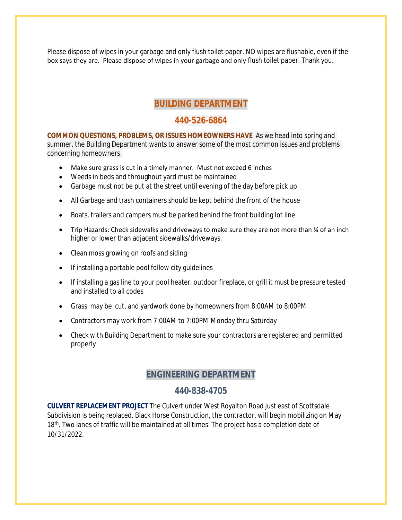Please dispose of wipes in your garbage and only flush toilet paper. NO wipes are flushable, even if the box says they are. Please dispose of wipes in your garbage and only flush toilet paper. Thank you.

# **BUILDING DEPARTMENT**

### **440-526-6864**

**COMMON QUESTIONS, PROBLEMS, OR ISSUES HOMEOWNERS HAVE** As we head into spring and summer, the Building Department wants to answer some of the most common issues and problems concerning homeowners.

- Make sure grass is cut in a timely manner. Must not exceed 6 inches
- Weeds in beds and throughout yard must be maintained
- Garbage must not be put at the street until evening of the day before pick up
- All Garbage and trash containers should be kept behind the front of the house
- Boats, trailers and campers must be parked behind the front building lot line
- Trip Hazards: Check sidewalks and driveways to make sure they are not more than  $\frac{3}{4}$  of an inch higher or lower than adjacent sidewalks/driveways.
- Clean moss growing on roofs and siding
- If installing a portable pool follow city quidelines
- If installing a gas line to your pool heater, outdoor fireplace, or grill it must be pressure tested and installed to all codes
- Grass may be cut, and yardwork done by homeowners from 8:00AM to 8:00PM
- Contractors may work from 7:00AM to 7:00PM Monday thru Saturday
- Check with Building Department to make sure your contractors are registered and permitted properly

### **ENGINEERING DEPARTMENT**

### **440-838-4705**

**CULVERT REPLACEMENT PROJECT** The Culvert under West Royalton Road just east of Scottsdale Subdivision is being replaced. Black Horse Construction, the contractor, will begin mobilizing on May 18<sup>th</sup>. Two lanes of traffic will be maintained at all times. The project has a completion date of 10/31/2022.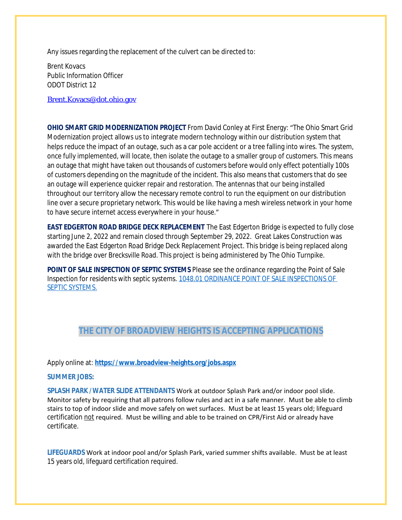Any issues regarding the replacement of the culvert can be directed to:

Brent Kovacs Public Information Officer ODOT District 12

[Brent.Kovacs@dot.ohio.gov](mailto:Brent.Kovacs@dot.ohio.gov)

**OHIO SMART GRID MODERNIZATION PROJECT** From David Conley at First Energy: "The Ohio Smart Grid Modernization project allows us to integrate modern technology within our distribution system that helps reduce the impact of an outage, such as a car pole accident or a tree falling into wires. The system, once fully implemented, will locate, then isolate the outage to a smaller group of customers. This means an outage that might have taken out thousands of customers before would only effect potentially 100s of customers depending on the magnitude of the incident. This also means that customers that do see an outage will experience quicker repair and restoration. The antennas that our being installed throughout our territory allow the necessary remote control to run the equipment on our distribution line over a secure proprietary network. This would be like having a mesh wireless network in your home to have secure internet access everywhere in your house."

**EAST EDGERTON ROAD BRIDGE DECK REPLACEMENT** The East Edgerton Bridge is expected to fully close starting June 2, 2022 and remain closed through September 29, 2022. Great Lakes Construction was awarded the East Edgerton Road Bridge Deck Replacement Project. This bridge is being replaced along with the bridge over Brecksville Road. This project is being administered by The Ohio Turnpike.

**POINT OF SALE INSPECTION OF SEPTIC SYSTEMS** Please see the ordinance regarding the Point of Sale Inspection for residents with septic systems. [1048.01 ORDINANCE POINT OF SALE INSPECTIONS OF](https://codelibrary.amlegal.com/codes/broadviewhts/latest/broadview_oh/0-0-0-13398)  SEPTIC SYSTEMS.

# **THE CITY OF BROADVIEW HEIGHTS IS ACCEPTING APPLICATIONS**

#### Apply online at: **<https://www.broadview-heights.org/jobs.aspx>**

#### **SUMMER JOBS:**

**SPLASH PARK /WATER SLIDE ATTENDANTS** Work at outdoor Splash Park and/or indoor pool slide. Monitor safety by requiring that all patrons follow rules and act in a safe manner. Must be able to climb stairs to top of indoor slide and move safely on wet surfaces. Must be at least 15 years old; lifeguard certification not required. Must be willing and able to be trained on CPR/First Aid or already have certificate.

**LIFEGUARDS** Work at indoor pool and/or Splash Park, varied summer shifts available. Must be at least 15 years old, lifeguard certification required.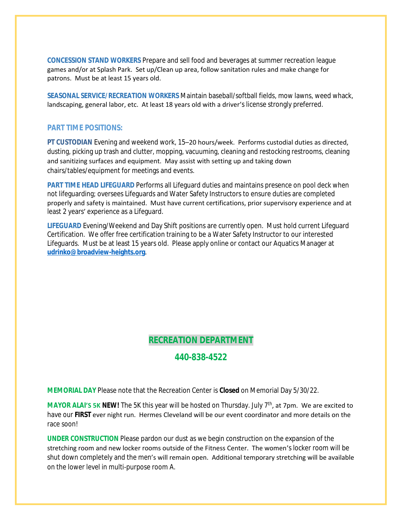**CONCESSION STAND WORKERS** Prepare and sell food and beverages at summer recreation league games and/or at Splash Park. Set up/Clean up area, follow sanitation rules and make change for patrons. Must be at least 15 years old.

**SEASONAL SERVICE/RECREATION WORKERS** Maintain baseball/softball fields, mow lawns, weed whack, landscaping, general labor, etc. At least 18 years old with a driver's license strongly preferred.

#### **PART TIME POSITIONS:**

**PT CUSTODIAN** Evening and weekend work, 15–20 hours/week. Performs custodial duties as directed, dusting, picking up trash and clutter, mopping, vacuuming, cleaning and restocking restrooms, cleaning and sanitizing surfaces and equipment. May assist with setting up and taking down chairs/tables/equipment for meetings and events.

**PART TIME HEAD LIFEGUARD** Performs all Lifeguard duties and maintains presence on pool deck when not lifeguarding; oversees Lifeguards and Water Safety Instructors to ensure duties are completed properly and safety is maintained. Must have current certifications, prior supervisory experience and at least 2 years' experience as a Lifeguard.

**LIFEGUARD** Evening/Weekend and Day Shift positions are currently open. Must hold current Lifeguard Certification. We offer free certification training to be a Water Safety Instructor to our interested Lifeguards. Must be at least 15 years old. Please apply online or contact our Aquatics Manager at **[udrinko@broadview-heights.org](mailto:udrinko@broadview-heights.org)**.

# **RECREATION DEPARTMENT**

# **440-838-4522**

**MEMORIAL DAY** Please note that the Recreation Center is **Closed** on Memorial Day 5/30/22.

**MAYOR ALAI'S 5K NEW!** The 5K this year will be hosted on Thursday. July 7th, at 7pm. We are excited to have our **FIRST** ever night run. Hermes Cleveland will be our event coordinator and more details on the race soon!

**UNDER CONSTRUCTION** Please pardon our dust as we begin construction on the expansion of the stretching room and new locker rooms outside of the Fitness Center. The women's locker room will be shut down completely and the men's will remain open. Additional temporary stretching will be available on the lower level in multi-purpose room A.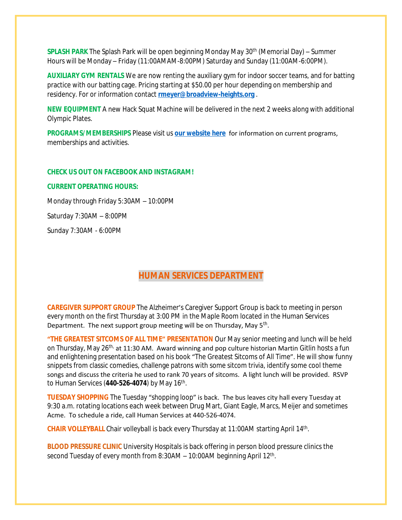**SPLASH PARK** The Splash Park will be open beginning Monday May 30th (Memorial Day) – Summer Hours will be Monday – Friday (11:00AMAM-8:00PM) Saturday and Sunday (11:00AM-6:00PM).

**AUXILIARY GYM RENTALS** We are now renting the auxiliary gym for indoor soccer teams, and for batting practice with our batting cage. Pricing starting at \$50.00 per hour depending on membership and residency. For or information contact **[rmeyer@broadview-heights.org](mailto:rmeyer@broadview-heights.org)** .

**NEW EQUIPMENT** A new Hack Squat Machine will be delivered in the next 2 weeks along with additional Olympic Plates.

**PROGRAMS/MEMBERSHIPS** Please visit us **[our website here](https://www.broadview-heights.org/292/Parks-Recreation)** for information on current programs, memberships and activities.

#### **CHECK US OUT ON FACEBOOK AND INSTAGRAM!**

#### **CURRENT OPERATING HOURS:**

Monday through Friday 5:30AM – 10:00PM

Saturday 7:30AM – 8:00PM

Sunday 7:30AM - 6:00PM

# **HUMAN SERVICES DEPARTMENT**

**CAREGIVER SUPPORT GROUP** The Alzheimer's Caregiver Support Group is back to meeting in person every month on the first Thursday at 3:00 PM in the Maple Room located in the Human Services Department. The next support group meeting will be on Thursday, May 5<sup>th</sup>.

**"THE GREATEST SITCOMS OF ALL TIME" PRESENTATION** Our May senior meeting and lunch will be held on Thursday, May 26<sup>th,</sup> at 11:30 AM. Award winning and pop culture historian Martin Gitlin hosts a fun and enlightening presentation based on his book "The Greatest Sitcoms of All Time". He will show funny snippets from classic comedies, challenge patrons with some sitcom trivia, identify some cool theme songs and discuss the criteria he used to rank 70 years of sitcoms. A light lunch will be provided. RSVP to Human Services (**440-526-4074**) by May 16th .

**TUESDAY SHOPPING** The Tuesday "shopping loop" is back. The bus leaves city hall every Tuesday at 9:30 a.m. rotating locations each week between Drug Mart, Giant Eagle, Marcs, Meijer and sometimes Acme. To schedule a ride, call Human Services at 440-526-4074.

CHAIR VOLLEYBALL Chair volleyball is back every Thursday at 11:00AM starting April 14<sup>th</sup>.

**BLOOD PRESSURE CLINIC** University Hospitals is back offering in person blood pressure clinics the second Tuesday of every month from 8:30AM - 10:00AM beginning April 12<sup>th</sup>.